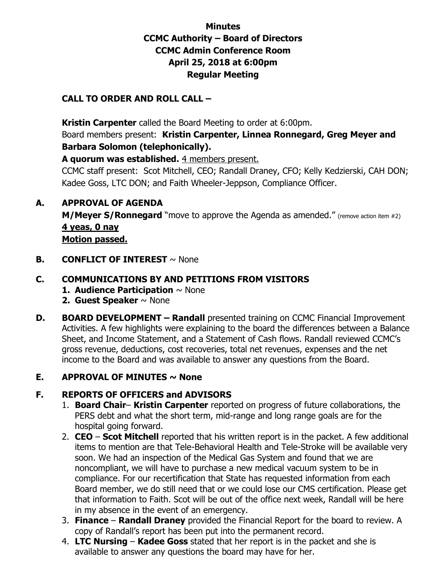## **Minutes CCMC Authority – Board of Directors CCMC Admin Conference Room April 25, 2018 at 6:00pm Regular Meeting**

### **CALL TO ORDER AND ROLL CALL –**

 **Kristin Carpenter** called the Board Meeting to order at 6:00pm.

Board members present: **Kristin Carpenter, Linnea Ronnegard, Greg Meyer and Barbara Solomon (telephonically).** 

**A quorum was established.** 4 members present.

CCMC staff present: Scot Mitchell, CEO; Randall Draney, CFO; Kelly Kedzierski, CAH DON; Kadee Goss, LTC DON; and Faith Wheeler-Jeppson, Compliance Officer.

### **A. APPROVAL OF AGENDA**

**M/Meyer S/Ronnegard** "move to approve the Agenda as amended." (remove action item #2) **4 yeas, 0 nay Motion passed.** 

**B. CONFLICT OF INTEREST**  $\sim$  None

### **C. COMMUNICATIONS BY AND PETITIONS FROM VISITORS**

- **1. Audience Participation** ~ None
- **2. Guest Speaker** ~ None
- **D. BOARD DEVELOPMENT Randall** presented training on CCMC Financial Improvement Activities. A few highlights were explaining to the board the differences between a Balance Sheet, and Income Statement, and a Statement of Cash flows. Randall reviewed CCMC's gross revenue, deductions, cost recoveries, total net revenues, expenses and the net income to the Board and was available to answer any questions from the Board.

### **E.** APPROVAL OF MINUTES  $\sim$  None

### **F. REPORTS OF OFFICERS and ADVISORS**

- 1. **Board Chair Kristin Carpenter** reported on progress of future collaborations, the PERS debt and what the short term, mid-range and long range goals are for the hospital going forward.
- 2. **CEO Scot Mitchell** reported that his written report is in the packet. A few additional items to mention are that Tele-Behavioral Health and Tele-Stroke will be available very soon. We had an inspection of the Medical Gas System and found that we are noncompliant, we will have to purchase a new medical vacuum system to be in compliance. For our recertification that State has requested information from each Board member, we do still need that or we could lose our CMS certification. Please get that information to Faith. Scot will be out of the office next week, Randall will be here in my absence in the event of an emergency.
- 3. **Finance Randall Draney** provided the Financial Report for the board to review. A copy of Randall's report has been put into the permanent record.
- 4. **LTC Nursing Kadee Goss** stated that her report is in the packet and she is available to answer any questions the board may have for her.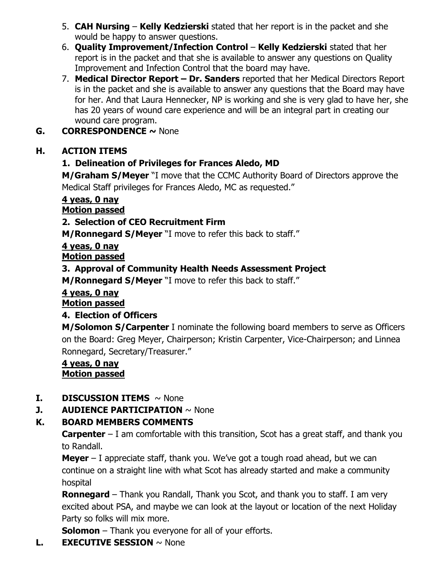- 5. **CAH Nursing Kelly Kedzierski** stated that her report is in the packet and she would be happy to answer questions.
- 6. **Quality Improvement/Infection Control Kelly Kedzierski** stated that her report is in the packet and that she is available to answer any questions on Quality Improvement and Infection Control that the board may have.
- 7. **Medical Director Report – Dr. Sanders** reported that her Medical Directors Report is in the packet and she is available to answer any questions that the Board may have for her. And that Laura Hennecker, NP is working and she is very glad to have her, she has 20 years of wound care experience and will be an integral part in creating our wound care program.
- **G. CORRESPONDENCE ~** None

# **H. ACTION ITEMS**

# **1. Delineation of Privileges for Frances Aledo, MD**

**M/Graham S/Meyer** "I move that the CCMC Authority Board of Directors approve the Medical Staff privileges for Frances Aledo, MC as requested."

# **4 yeas, 0 nay**

# **Motion passed**

# **2. Selection of CEO Recruitment Firm**

**M/Ronnegard S/Meyer** "I move to refer this back to staff."

#### **4 yeas, 0 nay Motion passed**

# **3. Approval of Community Health Needs Assessment Project**

**M/Ronnegard S/Meyer** "I move to refer this back to staff."

## **4 yeas, 0 nay**

## **Motion passed**

## **4. Election of Officers**

**M/Solomon S/Carpenter** I nominate the following board members to serve as Officers on the Board: Greg Meyer, Chairperson; Kristin Carpenter, Vice-Chairperson; and Linnea Ronnegard, Secretary/Treasurer."

### **4 yeas, 0 nay Motion passed**

## **I. DISCUSSION ITEMS** ~ None

## **J. AUDIENCE PARTICIPATION**  $\sim$  None

## **K. BOARD MEMBERS COMMENTS**

**Carpenter** – I am comfortable with this transition, Scot has a great staff, and thank you to Randall.

**Meyer** – I appreciate staff, thank you. We've got a tough road ahead, but we can continue on a straight line with what Scot has already started and make a community hospital

**Ronnegard** – Thank you Randall, Thank you Scot, and thank you to staff. I am very excited about PSA, and maybe we can look at the layout or location of the next Holiday Party so folks will mix more.

**Solomon** – Thank you everyone for all of your efforts.

**L. EXECUTIVE SESSION** ~ None